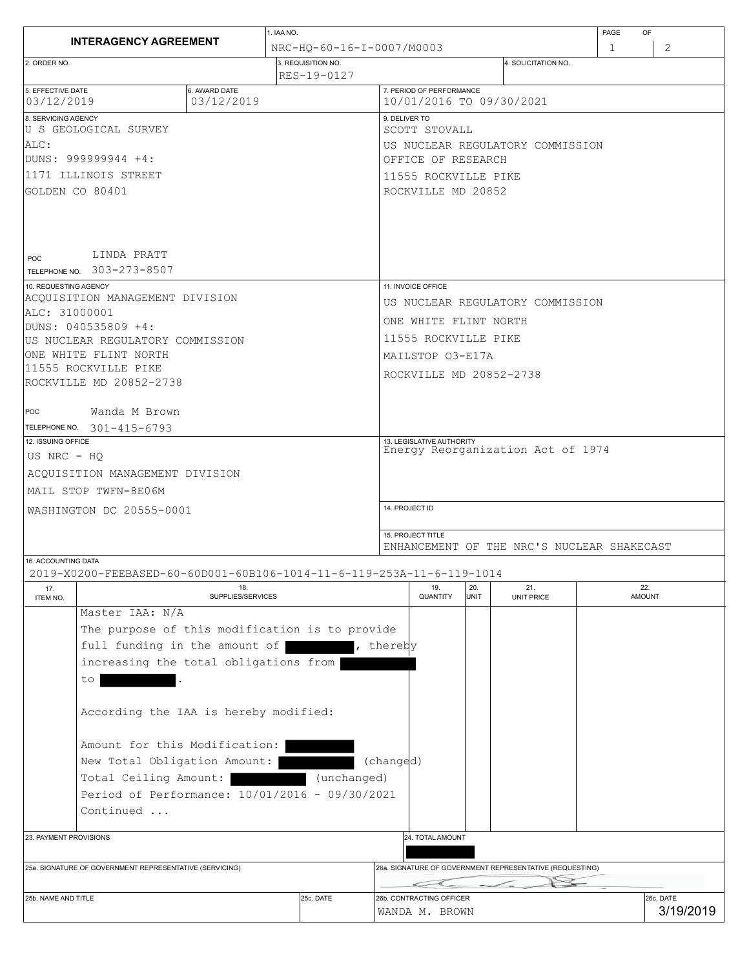|                                                         |                                                                       |                             | 1. IAA NO.         |                           |                                                                 |                          |      |                          | PAGE        | OF                     |  |  |
|---------------------------------------------------------|-----------------------------------------------------------------------|-----------------------------|--------------------|---------------------------|-----------------------------------------------------------------|--------------------------|------|--------------------------|-------------|------------------------|--|--|
|                                                         | <b>INTERAGENCY AGREEMENT</b>                                          |                             |                    | NRC-HO-60-16-I-0007/M0003 |                                                                 |                          |      |                          | $\mathbf 1$ | $\mathbf{2}^{\prime}$  |  |  |
| 2. ORDER NO.                                            |                                                                       |                             | 3. REQUISITION NO. | RES-19-0127               |                                                                 |                          |      | 4. SOLICITATION NO.      |             |                        |  |  |
| 5. EFFECTIVE DATE<br>03/12/2019                         |                                                                       | 6. AWARD DATE<br>03/12/2019 |                    |                           |                                                                 | 7. PERIOD OF PERFORMANCE |      | 10/01/2016 TO 09/30/2021 |             |                        |  |  |
| 8. SERVICING AGENCY                                     |                                                                       |                             |                    |                           | 9. DELIVER TO                                                   |                          |      |                          |             |                        |  |  |
|                                                         | U S GEOLOGICAL SURVEY                                                 |                             |                    |                           | SCOTT STOVALL                                                   |                          |      |                          |             |                        |  |  |
| ALC:<br> DUNS: 999999944 +4:                            |                                                                       |                             |                    |                           | US NUCLEAR REGULATORY COMMISSION<br>OFFICE OF RESEARCH          |                          |      |                          |             |                        |  |  |
| 11171 ILLINOIS STREET                                   |                                                                       |                             |                    |                           | 11555 ROCKVILLE PIKE                                            |                          |      |                          |             |                        |  |  |
| GOLDEN CO 80401                                         |                                                                       |                             |                    |                           | ROCKVILLE MD 20852                                              |                          |      |                          |             |                        |  |  |
| POC                                                     | LINDA PRATT<br>TELEPHONE NO. 303-273-8507                             |                             |                    |                           |                                                                 |                          |      |                          |             |                        |  |  |
| 10. REQUESTING AGENCY                                   |                                                                       |                             |                    |                           | 11. INVOICE OFFICE                                              |                          |      |                          |             |                        |  |  |
| ALC: 31000001                                           | ACOUISITION MANAGEMENT DIVISION                                       |                             |                    |                           | US NUCLEAR REGULATORY COMMISSION                                |                          |      |                          |             |                        |  |  |
|                                                         | DUNS: 040535809 +4:                                                   |                             |                    |                           | ONE WHITE FLINT NORTH                                           |                          |      |                          |             |                        |  |  |
|                                                         | US NUCLEAR REGULATORY COMMISSION                                      |                             |                    |                           | 11555 ROCKVILLE PIKE                                            |                          |      |                          |             |                        |  |  |
|                                                         | ONE WHITE FLINT NORTH                                                 |                             |                    |                           | MAILSTOP 03-E17A                                                |                          |      |                          |             |                        |  |  |
|                                                         | 111555 ROCKVILLE PIKE<br>ROCKVILLE MD 20852-2738                      |                             |                    |                           |                                                                 | ROCKVILLE MD 20852-2738  |      |                          |             |                        |  |  |
|                                                         |                                                                       |                             |                    |                           |                                                                 |                          |      |                          |             |                        |  |  |
| POC                                                     | Wanda M Brown                                                         |                             |                    |                           |                                                                 |                          |      |                          |             |                        |  |  |
|                                                         | TELEPHONE NO. 301-415-6793                                            |                             |                    |                           |                                                                 |                          |      |                          |             |                        |  |  |
| 12. ISSUING OFFICE<br>US NRC - HO                       |                                                                       |                             |                    |                           | 13. LEGISLATIVE AUTHORITY<br>Energy Reorganization Act of 1974  |                          |      |                          |             |                        |  |  |
|                                                         | ACQUISITION MANAGEMENT DIVISION                                       |                             |                    |                           |                                                                 |                          |      |                          |             |                        |  |  |
|                                                         |                                                                       |                             |                    |                           |                                                                 |                          |      |                          |             |                        |  |  |
| MAIL STOP TWFN-8E06M                                    |                                                                       |                             |                    |                           | 14. PROJECT ID                                                  |                          |      |                          |             |                        |  |  |
| WASHINGTON DC 20555-0001                                |                                                                       |                             |                    |                           |                                                                 |                          |      |                          |             |                        |  |  |
|                                                         |                                                                       |                             |                    |                           | 15. PROJECT TITLE<br>ENHANCEMENT OF THE NRC'S NUCLEAR SHAKECAST |                          |      |                          |             |                        |  |  |
| 16. ACCOUNTING DATA                                     | 2019-X0200-FEEBASED-60-60D001-60B106-1014-11-6-119-253A-11-6-119-1014 |                             |                    |                           |                                                                 |                          |      |                          |             |                        |  |  |
| 17.                                                     |                                                                       | 18.                         |                    |                           |                                                                 | 19.                      | 20.  | 21.                      | 22.         |                        |  |  |
| ITEM NO.                                                | Master IAA: N/A                                                       | SUPPLIES/SERVICES           |                    |                           |                                                                 | QUANTITY                 | UNIT | UNIT PRICE               |             | <b>AMOUNT</b>          |  |  |
|                                                         | The purpose of this modification is to provide                        |                             |                    |                           |                                                                 |                          |      |                          |             |                        |  |  |
|                                                         | full funding in the amount of                                         |                             |                    |                           | , thereby                                                       |                          |      |                          |             |                        |  |  |
| increasing the total obligations from                   |                                                                       |                             |                    |                           |                                                                 |                          |      |                          |             |                        |  |  |
|                                                         | to                                                                    |                             |                    |                           |                                                                 |                          |      |                          |             |                        |  |  |
| According the IAA is hereby modified:                   |                                                                       |                             |                    |                           |                                                                 |                          |      |                          |             |                        |  |  |
| Amount for this Modification:                           |                                                                       |                             |                    |                           |                                                                 |                          |      |                          |             |                        |  |  |
| New Total Obligation Amount:                            |                                                                       |                             |                    |                           | (changed)                                                       |                          |      |                          |             |                        |  |  |
| Total Ceiling Amount:<br>(unchanged)                    |                                                                       |                             |                    |                           |                                                                 |                          |      |                          |             |                        |  |  |
| Period of Performance: 10/01/2016 - 09/30/2021          |                                                                       |                             |                    |                           |                                                                 |                          |      |                          |             |                        |  |  |
| Continued                                               |                                                                       |                             |                    |                           |                                                                 |                          |      |                          |             |                        |  |  |
|                                                         |                                                                       |                             |                    |                           |                                                                 |                          |      |                          |             |                        |  |  |
| 23. PAYMENT PROVISIONS                                  |                                                                       |                             |                    |                           | 24. TOTAL AMOUNT                                                |                          |      |                          |             |                        |  |  |
| 25a. SIGNATURE OF GOVERNMENT REPRESENTATIVE (SERVICING) |                                                                       |                             |                    |                           | 26a. SIGNATURE OF GOVERNMENT REPRESENTATIVE (REQUESTING)        |                          |      |                          |             |                        |  |  |
|                                                         |                                                                       |                             |                    |                           |                                                                 |                          |      |                          |             |                        |  |  |
| 25b. NAME AND TITLE                                     |                                                                       |                             |                    | 25c. DATE                 | 26b. CONTRACTING OFFICER<br>WANDA M. BROWN                      |                          |      |                          |             | 26c. DATE<br>3/19/2019 |  |  |